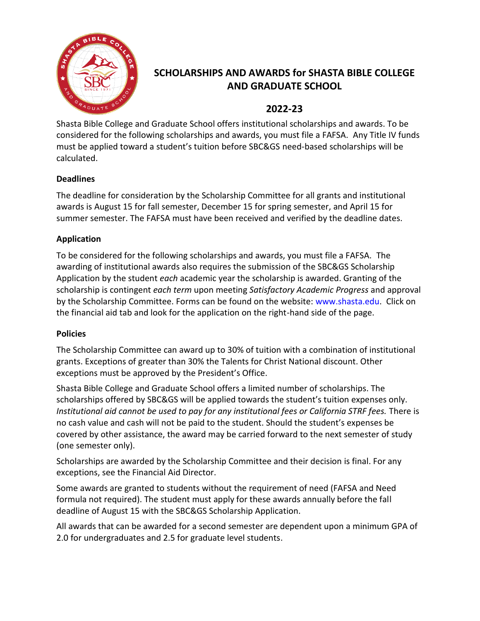

# **SCHOLARSHIPS AND AWARDS for SHASTA BIBLE COLLEGE AND GRADUATE SCHOOL**

#### **2022-23**

Shasta Bible College and Graduate School offers institutional scholarships and awards. To be considered for the following scholarships and awards, you must file a FAFSA. Any Title IV funds must be applied toward a student's tuition before SBC&GS need-based scholarships will be calculated.

#### **Deadlines**

The deadline for consideration by the Scholarship Committee for all grants and institutional awards is August 15 for fall semester, December 15 for spring semester, and April 15 for summer semester. The FAFSA must have been received and verified by the deadline dates.

#### **Application**

To be considered for the following scholarships and awards, you must file a FAFSA. The awarding of institutional awards also requires the submission of the SBC&GS Scholarship Application by the student *each* academic year the scholarship is awarded. Granting of the scholarship is contingent *each term* upon meeting *Satisfactory Academic Progress* and approval by the Scholarship Committee. Forms can be found on the website: [www.shasta.edu.](http://www.shasta.edu/) Click on the financial aid tab and look for the application on the right-hand side of the page.

#### **Policies**

The Scholarship Committee can award up to 30% of tuition with a combination of institutional grants. Exceptions of greater than 30% the Talents for Christ National discount. Other exceptions must be approved by the President's Office.

Shasta Bible College and Graduate School offers a limited number of scholarships. The scholarships offered by SBC&GS will be applied towards the student's tuition expenses only. *Institutional aid cannot be used to pay for any institutional fees or California STRF fees.* There is no cash value and cash will not be paid to the student. Should the student's expenses be covered by other assistance, the award may be carried forward to the next semester of study (one semester only).

Scholarships are awarded by the Scholarship Committee and their decision is final. For any exceptions, see the Financial Aid Director.

Some awards are granted to students without the requirement of need (FAFSA and Need formula not required). The student must apply for these awards annually before the fall deadline of August 15 with the SBC&GS Scholarship Application.

All awards that can be awarded for a second semester are dependent upon a minimum GPA of 2.0 for undergraduates and 2.5 for graduate level students.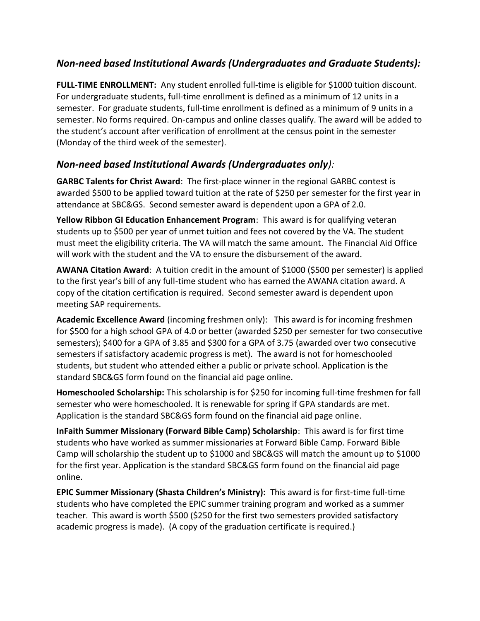## *Non-need based Institutional Awards (Undergraduates and Graduate Students):*

**FULL-TIME ENROLLMENT:** Any student enrolled full-time is eligible for \$1000 tuition discount. For undergraduate students, full-time enrollment is defined as a minimum of 12 units in a semester. For graduate students, full-time enrollment is defined as a minimum of 9 units in a semester. No forms required. On-campus and online classes qualify. The award will be added to the student's account after verification of enrollment at the census point in the semester (Monday of the third week of the semester).

## *Non-need based Institutional Awards (Undergraduates only):*

**GARBC Talents for Christ Award**: The first-place winner in the regional GARBC contest is awarded \$500 to be applied toward tuition at the rate of \$250 per semester for the first year in attendance at SBC&GS. Second semester award is dependent upon a GPA of 2.0.

**Yellow Ribbon GI Education Enhancement Program**: This award is for qualifying veteran students up to \$500 per year of unmet tuition and fees not covered by the VA. The student must meet the eligibility criteria. The VA will match the same amount. The Financial Aid Office will work with the student and the VA to ensure the disbursement of the award.

**AWANA Citation Award**: A tuition credit in the amount of \$1000 (\$500 per semester) is applied to the first year's bill of any full-time student who has earned the AWANA citation award. A copy of the citation certification is required. Second semester award is dependent upon meeting SAP requirements.

**Academic Excellence Award** (incoming freshmen only): This award is for incoming freshmen for \$500 for a high school GPA of 4.0 or better (awarded \$250 per semester for two consecutive semesters); \$400 for a GPA of 3.85 and \$300 for a GPA of 3.75 (awarded over two consecutive semesters if satisfactory academic progress is met). The award is not for homeschooled students, but student who attended either a public or private school. Application is the standard SBC&GS form found on the financial aid page online.

**Homeschooled Scholarship:** This scholarship is for \$250 for incoming full-time freshmen for fall semester who were homeschooled. It is renewable for spring if GPA standards are met. Application is the standard SBC&GS form found on the financial aid page online.

**InFaith Summer Missionary (Forward Bible Camp) Scholarship**: This award is for first time students who have worked as summer missionaries at Forward Bible Camp. Forward Bible Camp will scholarship the student up to \$1000 and SBC&GS will match the amount up to \$1000 for the first year. Application is the standard SBC&GS form found on the financial aid page online.

**EPIC Summer Missionary (Shasta Children's Ministry):** This award is for first-time full-time students who have completed the EPIC summer training program and worked as a summer teacher. This award is worth \$500 (\$250 for the first two semesters provided satisfactory academic progress is made). (A copy of the graduation certificate is required.)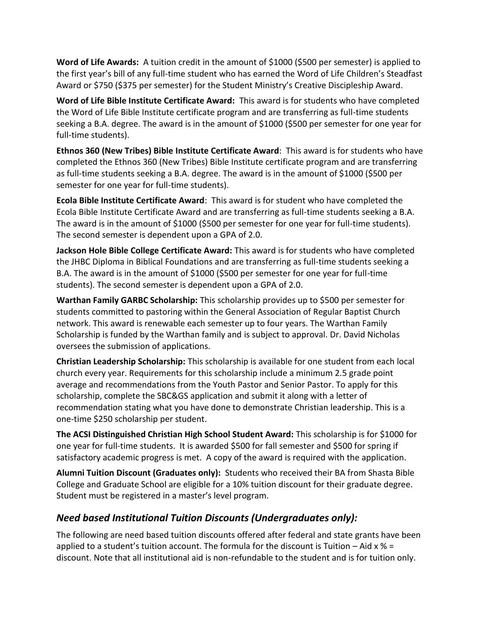**Word of Life Awards:** A tuition credit in the amount of \$1000 (\$500 per semester) is applied to the first year's bill of any full-time student who has earned the Word of Life Children's Steadfast Award or \$750 (\$375 per semester) for the Student Ministry's Creative Discipleship Award.

**Word of Life Bible Institute Certificate Award:** This award is for students who have completed the Word of Life Bible Institute certificate program and are transferring as full-time students seeking a B.A. degree. The award is in the amount of \$1000 (\$500 per semester for one year for full-time students).

**Ethnos 360 (New Tribes) Bible Institute Certificate Award**: This award is for students who have completed the Ethnos 360 (New Tribes) Bible Institute certificate program and are transferring as full-time students seeking a B.A. degree. The award is in the amount of \$1000 (\$500 per semester for one year for full-time students).

**Ecola Bible Institute Certificate Award**: This award is for student who have completed the Ecola Bible Institute Certificate Award and are transferring as full-time students seeking a B.A. The award is in the amount of \$1000 (\$500 per semester for one year for full-time students). The second semester is dependent upon a GPA of 2.0.

**Jackson Hole Bible College Certificate Award:** This award is for students who have completed the JHBC Diploma in Biblical Foundations and are transferring as full-time students seeking a B.A. The award is in the amount of \$1000 (\$500 per semester for one year for full-time students). The second semester is dependent upon a GPA of 2.0.

**Warthan Family GARBC Scholarship:** This scholarship provides up to \$500 per semester for students committed to pastoring within the General Association of Regular Baptist Church network. This award is renewable each semester up to four years. The Warthan Family Scholarship is funded by the Warthan family and is subject to approval. Dr. David Nicholas oversees the submission of applications.

**Christian Leadership Scholarship:** This scholarship is available for one student from each local church every year. Requirements for this scholarship include a minimum 2.5 grade point average and recommendations from the Youth Pastor and Senior Pastor. To apply for this scholarship, complete the SBC&GS application and submit it along with a letter of recommendation stating what you have done to demonstrate Christian leadership. This is a one-time \$250 scholarship per student.

**The ACSI Distinguished Christian High School Student Award:** This scholarship is for \$1000 for one year for full-time students. It is awarded \$500 for fall semester and \$500 for spring if satisfactory academic progress is met. A copy of the award is required with the application.

**Alumni Tuition Discount (Graduates only):** Students who received their BA from Shasta Bible College and Graduate School are eligible for a 10% tuition discount for their graduate degree. Student must be registered in a master's level program.

## *Need based Institutional Tuition Discounts (Undergraduates only):*

The following are need based tuition discounts offered after federal and state grants have been applied to a student's tuition account. The formula for the discount is Tuition  $-$  Aid x % = discount. Note that all institutional aid is non-refundable to the student and is for tuition only.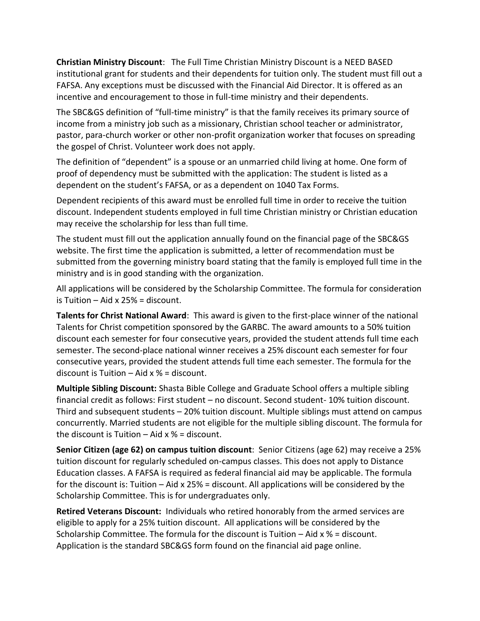**Christian Ministry Discount**: The Full Time Christian Ministry Discount is a NEED BASED institutional grant for students and their dependents for tuition only. The student must fill out a FAFSA. Any exceptions must be discussed with the Financial Aid Director. It is offered as an incentive and encouragement to those in full-time ministry and their dependents.

The SBC&GS definition of "full-time ministry" is that the family receives its primary source of income from a ministry job such as a missionary, Christian school teacher or administrator, pastor, para-church worker or other non-profit organization worker that focuses on spreading the gospel of Christ. Volunteer work does not apply.

The definition of "dependent" is a spouse or an unmarried child living at home. One form of proof of dependency must be submitted with the application: The student is listed as a dependent on the student's FAFSA, or as a dependent on 1040 Tax Forms.

Dependent recipients of this award must be enrolled full time in order to receive the tuition discount. Independent students employed in full time Christian ministry or Christian education may receive the scholarship for less than full time.

The student must fill out the application annually found on the financial page of the SBC&GS website. The first time the application is submitted, a letter of recommendation must be submitted from the governing ministry board stating that the family is employed full time in the ministry and is in good standing with the organization.

All applications will be considered by the Scholarship Committee. The formula for consideration is Tuition – Aid x 25% = discount.

**Talents for Christ National Award**: This award is given to the first-place winner of the national Talents for Christ competition sponsored by the GARBC. The award amounts to a 50% tuition discount each semester for four consecutive years, provided the student attends full time each semester. The second-place national winner receives a 25% discount each semester for four consecutive years, provided the student attends full time each semester. The formula for the discount is Tuition  $-$  Aid x % = discount.

**Multiple Sibling Discount:** Shasta Bible College and Graduate School offers a multiple sibling financial credit as follows: First student – no discount. Second student- 10% tuition discount. Third and subsequent students – 20% tuition discount. Multiple siblings must attend on campus concurrently. Married students are not eligible for the multiple sibling discount. The formula for the discount is Tuition  $-$  Aid x % = discount.

**Senior Citizen (age 62) on campus tuition discount**: Senior Citizens (age 62) may receive a 25% tuition discount for regularly scheduled on-campus classes. This does not apply to Distance Education classes. A FAFSA is required as federal financial aid may be applicable. The formula for the discount is: Tuition – Aid x 25% = discount. All applications will be considered by the Scholarship Committee. This is for undergraduates only.

**Retired Veterans Discount:** Individuals who retired honorably from the armed services are eligible to apply for a 25% tuition discount. All applications will be considered by the Scholarship Committee. The formula for the discount is Tuition  $-$  Aid  $x$  % = discount. Application is the standard SBC&GS form found on the financial aid page online.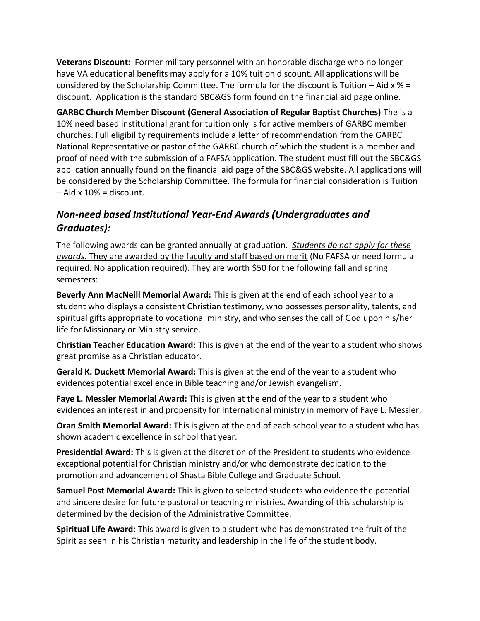**Veterans Discount:** Former military personnel with an honorable discharge who no longer have VA educational benefits may apply for a 10% tuition discount. All applications will be considered by the Scholarship Committee. The formula for the discount is Tuition – Aid  $x$  % = discount. Application is the standard SBC&GS form found on the financial aid page online.

**GARBC Church Member Discount (General Association of Regular Baptist Churches)** The is a 10% need based institutional grant for tuition only is for active members of GARBC member churches. Full eligibility requirements include a letter of recommendation from the GARBC National Representative or pastor of the GARBC church of which the student is a member and proof of need with the submission of a FAFSA application. The student must fill out the SBC&GS application annually found on the financial aid page of the SBC&GS website. All applications will be considered by the Scholarship Committee. The formula for financial consideration is Tuition  $-$  Aid x 10% = discount.

## *Non-need based Institutional Year-End Awards (Undergraduates and Graduates):*

The following awards can be granted annually at graduation. *Students do not apply for these awards*. They are awarded by the faculty and staff based on merit (No FAFSA or need formula required. No application required). They are worth \$50 for the following fall and spring semesters:

**Beverly Ann MacNeill Memorial Award:** This is given at the end of each school year to a student who displays a consistent Christian testimony, who possesses personality, talents, and spiritual gifts appropriate to vocational ministry, and who senses the call of God upon his/her life for Missionary or Ministry service.

**Christian Teacher Education Award:** This is given at the end of the year to a student who shows great promise as a Christian educator.

**Gerald K. Duckett Memorial Award:** This is given at the end of the year to a student who evidences potential excellence in Bible teaching and/or Jewish evangelism.

**Faye L. Messler Memorial Award:** This is given at the end of the year to a student who evidences an interest in and propensity for International ministry in memory of Faye L. Messler.

**Oran Smith Memorial Award:** This is given at the end of each school year to a student who has shown academic excellence in school that year.

**Presidential Award:** This is given at the discretion of the President to students who evidence exceptional potential for Christian ministry and/or who demonstrate dedication to the promotion and advancement of Shasta Bible College and Graduate School.

**Samuel Post Memorial Award:** This is given to selected students who evidence the potential and sincere desire for future pastoral or teaching ministries. Awarding of this scholarship is determined by the decision of the Administrative Committee.

**Spiritual Life Award:** This award is given to a student who has demonstrated the fruit of the Spirit as seen in his Christian maturity and leadership in the life of the student body.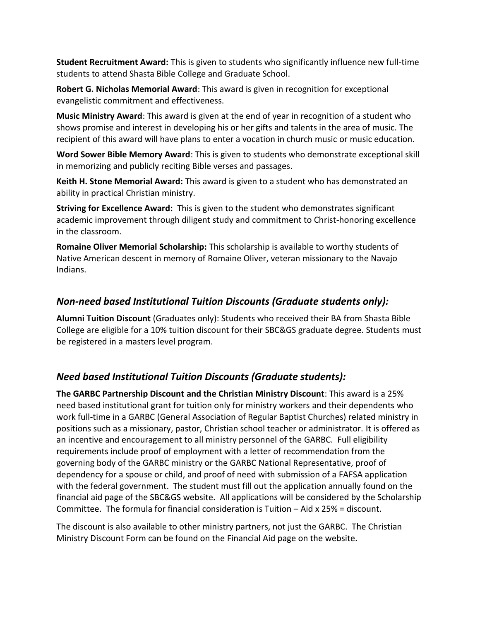**Student Recruitment Award:** This is given to students who significantly influence new full-time students to attend Shasta Bible College and Graduate School.

**Robert G. Nicholas Memorial Award**: This award is given in recognition for exceptional evangelistic commitment and effectiveness.

**Music Ministry Award**: This award is given at the end of year in recognition of a student who shows promise and interest in developing his or her gifts and talents in the area of music. The recipient of this award will have plans to enter a vocation in church music or music education.

**Word Sower Bible Memory Award**: This is given to students who demonstrate exceptional skill in memorizing and publicly reciting Bible verses and passages.

**Keith H. Stone Memorial Award:** This award is given to a student who has demonstrated an ability in practical Christian ministry.

**Striving for Excellence Award:** This is given to the student who demonstrates significant academic improvement through diligent study and commitment to Christ-honoring excellence in the classroom.

**Romaine Oliver Memorial Scholarship:** This scholarship is available to worthy students of Native American descent in memory of Romaine Oliver, veteran missionary to the Navajo Indians.

## *Non-need based Institutional Tuition Discounts (Graduate students only):*

**Alumni Tuition Discount** (Graduates only): Students who received their BA from Shasta Bible College are eligible for a 10% tuition discount for their SBC&GS graduate degree. Students must be registered in a masters level program.

## *Need based Institutional Tuition Discounts (Graduate students):*

**The GARBC Partnership Discount and the Christian Ministry Discount**: This award is a 25% need based institutional grant for tuition only for ministry workers and their dependents who work full-time in a GARBC (General Association of Regular Baptist Churches) related ministry in positions such as a missionary, pastor, Christian school teacher or administrator. It is offered as an incentive and encouragement to all ministry personnel of the GARBC. Full eligibility requirements include proof of employment with a letter of recommendation from the governing body of the GARBC ministry or the GARBC National Representative, proof of dependency for a spouse or child, and proof of need with submission of a FAFSA application with the federal government. The student must fill out the application annually found on the financial aid page of the SBC&GS website. All applications will be considered by the Scholarship Committee. The formula for financial consideration is Tuition – Aid x 25% = discount.

The discount is also available to other ministry partners, not just the GARBC. The Christian Ministry Discount Form can be found on the Financial Aid page on the website.